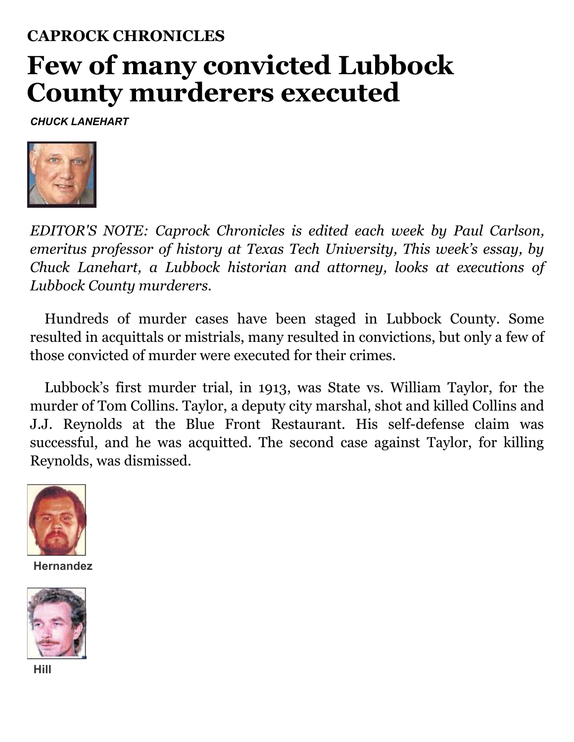## **CAPROCK CHRONICLES Few of many convicted Lubbock County murderers executed**

*CHUCK LANEHART*



*EDITOR'S NOTE: Caprock Chronicles is edited each week by Paul Carlson, emeritus professor of history at Texas Tech University, This week's essay, by Chuck Lanehart, a Lubbock historian and attorney, looks at executions of Lubbock County murderers.*

Hundreds of murder cases have been staged in Lubbock County. Some resulted in acquittals or mistrials, many resulted in convictions, but only a few of those convicted of murder were executed for their crimes.

Lubbock's first murder trial, in 1913, was State vs. William Taylor, for the murder of Tom Collins. Taylor, a deputy city marshal, shot and killed Collins and J.J. Reynolds at the Blue Front Restaurant. His self-defense claim was successful, and he was acquitted. The second case against Taylor, for killing Reynolds, was dismissed.



**Hernandez**



**Hill**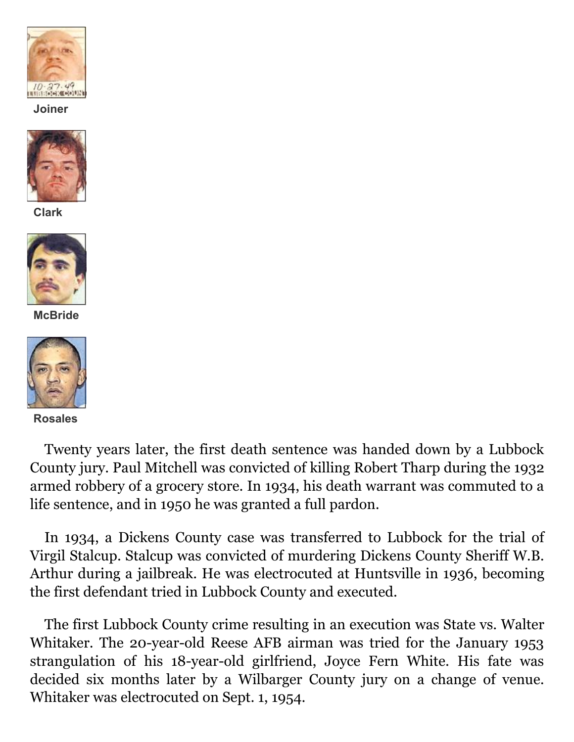

**Joiner**



**Clark**



**McBride**



**Rosales**

Twenty years later, the first death sentence was handed down by a Lubbock County jury. Paul Mitchell was convicted of killing Robert Tharp during the 1932 armed robbery of a grocery store. In 1934, his death warrant was commuted to a life sentence, and in 1950 he was granted a full pardon.

In 1934, a Dickens County case was transferred to Lubbock for the trial of Virgil Stalcup. Stalcup was convicted of murdering Dickens County Sheriff W.B. Arthur during a jailbreak. He was electrocuted at Huntsville in 1936, becoming the first defendant tried in Lubbock County and executed.

The first Lubbock County crime resulting in an execution was State vs. Walter Whitaker. The 20-year-old Reese AFB airman was tried for the January 1953 strangulation of his 18-year-old girlfriend, Joyce Fern White. His fate was decided six months later by a Wilbarger County jury on a change of venue. Whitaker was electrocuted on Sept. 1, 1954.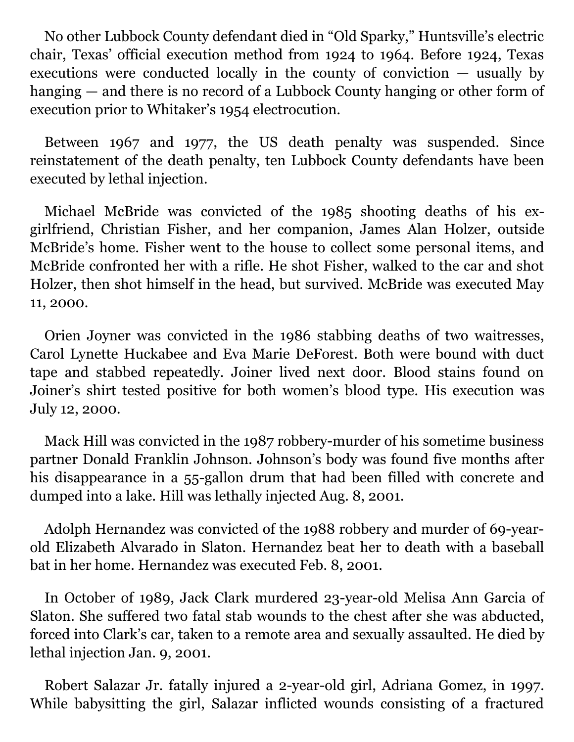No other Lubbock County defendant died in "Old Sparky," Huntsville's electric chair, Texas' official execution method from 1924 to 1964. Before 1924, Texas executions were conducted locally in the county of conviction — usually by hanging — and there is no record of a Lubbock County hanging or other form of execution prior to Whitaker's 1954 electrocution.

Between 1967 and 1977, the US death penalty was suspended. Since reinstatement of the death penalty, ten Lubbock County defendants have been executed by lethal injection.

Michael McBride was convicted of the 1985 shooting deaths of his exgirlfriend, Christian Fisher, and her companion, James Alan Holzer, outside McBride's home. Fisher went to the house to collect some personal items, and McBride confronted her with a rifle. He shot Fisher, walked to the car and shot Holzer, then shot himself in the head, but survived. McBride was executed May 11, 2000.

Orien Joyner was convicted in the 1986 stabbing deaths of two waitresses, Carol Lynette Huckabee and Eva Marie DeForest. Both were bound with duct tape and stabbed repeatedly. Joiner lived next door. Blood stains found on Joiner's shirt tested positive for both women's blood type. His execution was July 12, 2000.

Mack Hill was convicted in the 1987 robbery-murder of his sometime business partner Donald Franklin Johnson. Johnson's body was found five months after his disappearance in a 55-gallon drum that had been filled with concrete and dumped into a lake. Hill was lethally injected Aug. 8, 2001.

Adolph Hernandez was convicted of the 1988 robbery and murder of 69-yearold Elizabeth Alvarado in Slaton. Hernandez beat her to death with a baseball bat in her home. Hernandez was executed Feb. 8, 2001.

In October of 1989, Jack Clark murdered 23-year-old Melisa Ann Garcia of Slaton. She suffered two fatal stab wounds to the chest after she was abducted, forced into Clark's car, taken to a remote area and sexually assaulted. He died by lethal injection Jan. 9, 2001.

Robert Salazar Jr. fatally injured a 2-year-old girl, Adriana Gomez, in 1997. While babysitting the girl, Salazar inflicted wounds consisting of a fractured